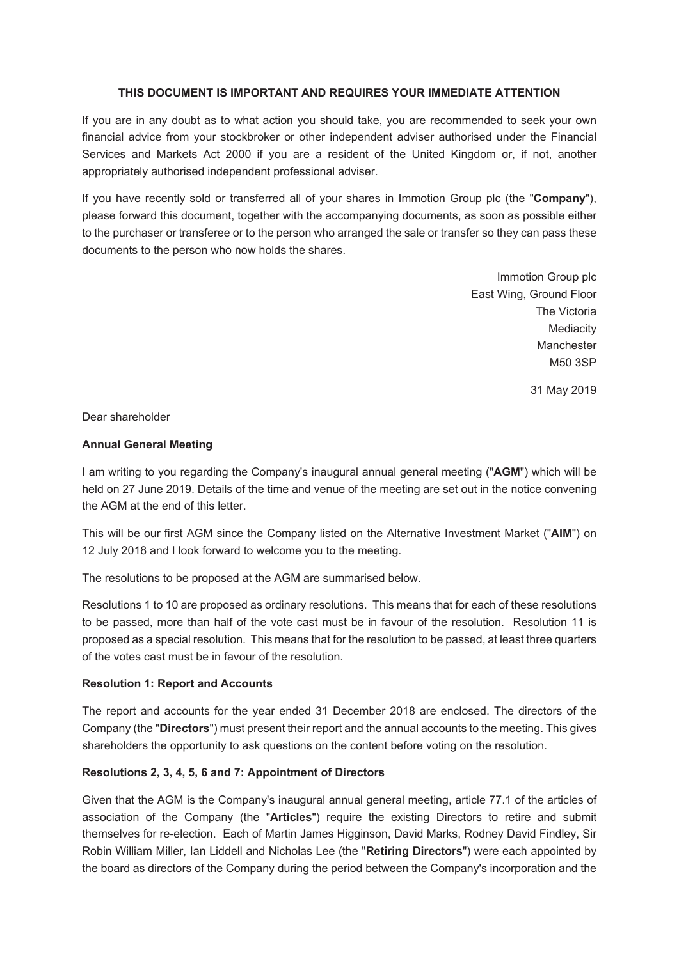### **THIS DOCUMENT IS IMPORTANT AND REQUIRES YOUR IMMEDIATE ATTENTION**

If you are in any doubt as to what action you should take, you are recommended to seek your own financial advice from your stockbroker or other independent adviser authorised under the Financial Services and Markets Act 2000 if you are a resident of the United Kingdom or, if not, another appropriately authorised independent professional adviser.

If you have recently sold or transferred all of your shares in Immotion Group plc (the "**Company**"), please forward this document, together with the accompanying documents, as soon as possible either to the purchaser or transferee or to the person who arranged the sale or transfer so they can pass these documents to the person who now holds the shares.

> Immotion Group plc East Wing, Ground Floor The Victoria Mediacity Manchester M50 3SP

> > 31 May 2019

Dear shareholder

#### **Annual General Meeting**

I am writing to you regarding the Company's inaugural annual general meeting ("**AGM**") which will be held on 27 June 2019. Details of the time and venue of the meeting are set out in the notice convening the AGM at the end of this letter.

This will be our first AGM since the Company listed on the Alternative Investment Market ("**AIM**") on 12 July 2018 and I look forward to welcome you to the meeting.

The resolutions to be proposed at the AGM are summarised below.

Resolutions 1 to 10 are proposed as ordinary resolutions. This means that for each of these resolutions to be passed, more than half of the vote cast must be in favour of the resolution. Resolution 11 is proposed as a special resolution. This means that for the resolution to be passed, at least three quarters of the votes cast must be in favour of the resolution.

#### **Resolution 1: Report and Accounts**

The report and accounts for the year ended 31 December 2018 are enclosed. The directors of the Company (the "**Directors**") must present their report and the annual accounts to the meeting. This gives shareholders the opportunity to ask questions on the content before voting on the resolution.

#### **Resolutions 2, 3, 4, 5, 6 and 7: Appointment of Directors**

Given that the AGM is the Company's inaugural annual general meeting, article 77.1 of the articles of association of the Company (the "**Articles**") require the existing Directors to retire and submit themselves for re-election. Each of Martin James Higginson, David Marks, Rodney David Findley, Sir Robin William Miller, Ian Liddell and Nicholas Lee (the "**Retiring Directors**") were each appointed by the board as directors of the Company during the period between the Company's incorporation and the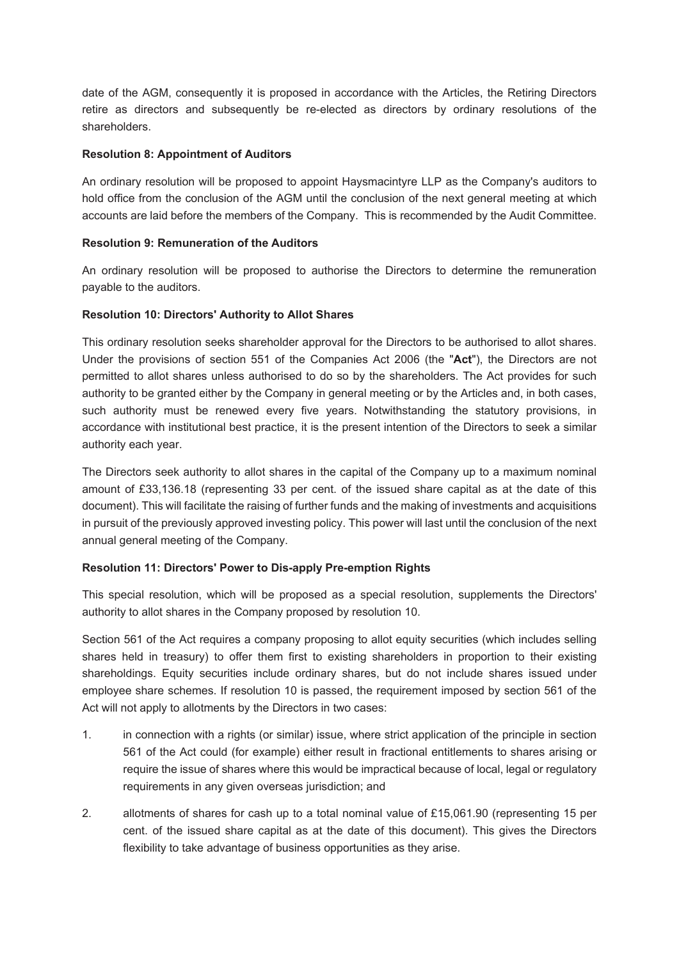date of the AGM, consequently it is proposed in accordance with the Articles, the Retiring Directors retire as directors and subsequently be re-elected as directors by ordinary resolutions of the shareholders.

# **Resolution 8: Appointment of Auditors**

An ordinary resolution will be proposed to appoint Haysmacintyre LLP as the Company's auditors to hold office from the conclusion of the AGM until the conclusion of the next general meeting at which accounts are laid before the members of the Company. This is recommended by the Audit Committee.

# **Resolution 9: Remuneration of the Auditors**

An ordinary resolution will be proposed to authorise the Directors to determine the remuneration payable to the auditors.

# **Resolution 10: Directors' Authority to Allot Shares**

This ordinary resolution seeks shareholder approval for the Directors to be authorised to allot shares. Under the provisions of section 551 of the Companies Act 2006 (the "**Act**"), the Directors are not permitted to allot shares unless authorised to do so by the shareholders. The Act provides for such authority to be granted either by the Company in general meeting or by the Articles and, in both cases, such authority must be renewed every five years. Notwithstanding the statutory provisions, in accordance with institutional best practice, it is the present intention of the Directors to seek a similar authority each year.

The Directors seek authority to allot shares in the capital of the Company up to a maximum nominal amount of £33,136.18 (representing 33 per cent. of the issued share capital as at the date of this document). This will facilitate the raising of further funds and the making of investments and acquisitions in pursuit of the previously approved investing policy. This power will last until the conclusion of the next annual general meeting of the Company.

# **Resolution 11: Directors' Power to Dis-apply Pre-emption Rights**

This special resolution, which will be proposed as a special resolution, supplements the Directors' authority to allot shares in the Company proposed by resolution 10.

Section 561 of the Act requires a company proposing to allot equity securities (which includes selling shares held in treasury) to offer them first to existing shareholders in proportion to their existing shareholdings. Equity securities include ordinary shares, but do not include shares issued under employee share schemes. If resolution 10 is passed, the requirement imposed by section 561 of the Act will not apply to allotments by the Directors in two cases:

- 1. in connection with a rights (or similar) issue, where strict application of the principle in section 561 of the Act could (for example) either result in fractional entitlements to shares arising or require the issue of shares where this would be impractical because of local, legal or regulatory requirements in any given overseas jurisdiction; and
- 2. allotments of shares for cash up to a total nominal value of £15,061.90 (representing 15 per cent. of the issued share capital as at the date of this document). This gives the Directors flexibility to take advantage of business opportunities as they arise.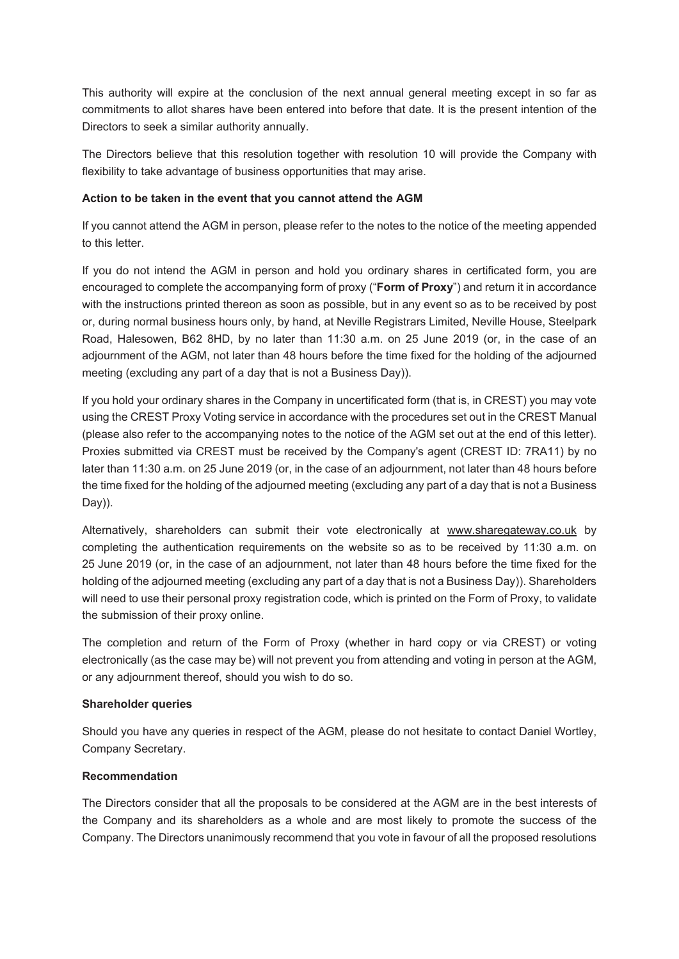This authority will expire at the conclusion of the next annual general meeting except in so far as commitments to allot shares have been entered into before that date. It is the present intention of the Directors to seek a similar authority annually.

The Directors believe that this resolution together with resolution 10 will provide the Company with flexibility to take advantage of business opportunities that may arise.

### **Action to be taken in the event that you cannot attend the AGM**

If you cannot attend the AGM in person, please refer to the notes to the notice of the meeting appended to this letter.

If you do not intend the AGM in person and hold you ordinary shares in certificated form, you are encouraged to complete the accompanying form of proxy ("**Form of Proxy**") and return it in accordance with the instructions printed thereon as soon as possible, but in any event so as to be received by post or, during normal business hours only, by hand, at Neville Registrars Limited, Neville House, Steelpark Road, Halesowen, B62 8HD, by no later than 11:30 a.m. on 25 June 2019 (or, in the case of an adjournment of the AGM, not later than 48 hours before the time fixed for the holding of the adjourned meeting (excluding any part of a day that is not a Business Day)).

If you hold your ordinary shares in the Company in uncertificated form (that is, in CREST) you may vote using the CREST Proxy Voting service in accordance with the procedures set out in the CREST Manual (please also refer to the accompanying notes to the notice of the AGM set out at the end of this letter). Proxies submitted via CREST must be received by the Company's agent (CREST ID: 7RA11) by no later than 11:30 a.m. on 25 June 2019 (or, in the case of an adjournment, not later than 48 hours before the time fixed for the holding of the adjourned meeting (excluding any part of a day that is not a Business Day)).

Alternatively, shareholders can submit their vote electronically at www.sharegateway.co.uk by completing the authentication requirements on the website so as to be received by 11:30 a.m. on 25 June 2019 (or, in the case of an adjournment, not later than 48 hours before the time fixed for the holding of the adjourned meeting (excluding any part of a day that is not a Business Day)). Shareholders will need to use their personal proxy registration code, which is printed on the Form of Proxy, to validate the submission of their proxy online.

The completion and return of the Form of Proxy (whether in hard copy or via CREST) or voting electronically (as the case may be) will not prevent you from attending and voting in person at the AGM, or any adjournment thereof, should you wish to do so.

# **Shareholder queries**

Should you have any queries in respect of the AGM, please do not hesitate to contact Daniel Wortley, Company Secretary.

### **Recommendation**

The Directors consider that all the proposals to be considered at the AGM are in the best interests of the Company and its shareholders as a whole and are most likely to promote the success of the Company. The Directors unanimously recommend that you vote in favour of all the proposed resolutions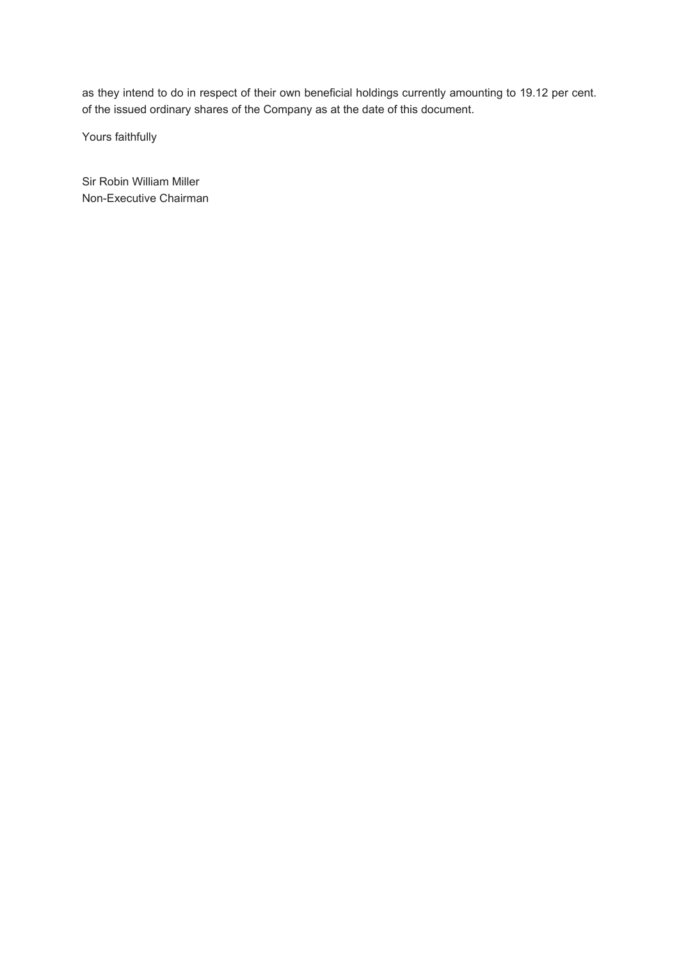as they intend to do in respect of their own beneficial holdings currently amounting to 19.12 per cent. of the issued ordinary shares of the Company as at the date of this document.

Yours faithfully

Sir Robin William Miller Non-Executive Chairman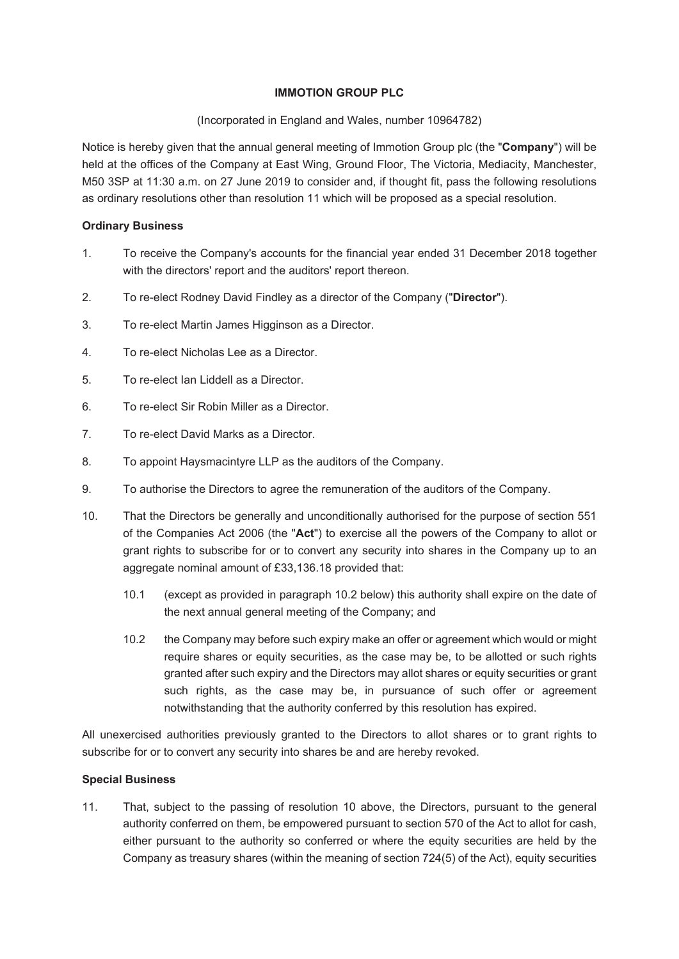# **IMMOTION GROUP PLC**

(Incorporated in England and Wales, number 10964782)

Notice is hereby given that the annual general meeting of Immotion Group plc (the "**Company**") will be held at the offices of the Company at East Wing, Ground Floor, The Victoria, Mediacity, Manchester, M50 3SP at 11:30 a.m. on 27 June 2019 to consider and, if thought fit, pass the following resolutions as ordinary resolutions other than resolution 11 which will be proposed as a special resolution.

# **Ordinary Business**

- 1. To receive the Company's accounts for the financial year ended 31 December 2018 together with the directors' report and the auditors' report thereon.
- 2. To re-elect Rodney David Findley as a director of the Company ("**Director**").
- 3. To re-elect Martin James Higginson as a Director.
- 4. To re-elect Nicholas Lee as a Director.
- 5. To re-elect Ian Liddell as a Director.
- 6. To re-elect Sir Robin Miller as a Director.
- 7. To re-elect David Marks as a Director.
- 8. To appoint Haysmacintyre LLP as the auditors of the Company.
- 9. To authorise the Directors to agree the remuneration of the auditors of the Company.
- 10. That the Directors be generally and unconditionally authorised for the purpose of section 551 of the Companies Act 2006 (the "**Act**") to exercise all the powers of the Company to allot or grant rights to subscribe for or to convert any security into shares in the Company up to an aggregate nominal amount of £33,136.18 provided that:
	- 10.1 (except as provided in paragraph 10.2 below) this authority shall expire on the date of the next annual general meeting of the Company; and
	- 10.2 the Company may before such expiry make an offer or agreement which would or might require shares or equity securities, as the case may be, to be allotted or such rights granted after such expiry and the Directors may allot shares or equity securities or grant such rights, as the case may be, in pursuance of such offer or agreement notwithstanding that the authority conferred by this resolution has expired.

All unexercised authorities previously granted to the Directors to allot shares or to grant rights to subscribe for or to convert any security into shares be and are hereby revoked.

### **Special Business**

11. That, subject to the passing of resolution 10 above, the Directors, pursuant to the general authority conferred on them, be empowered pursuant to section 570 of the Act to allot for cash, either pursuant to the authority so conferred or where the equity securities are held by the Company as treasury shares (within the meaning of section 724(5) of the Act), equity securities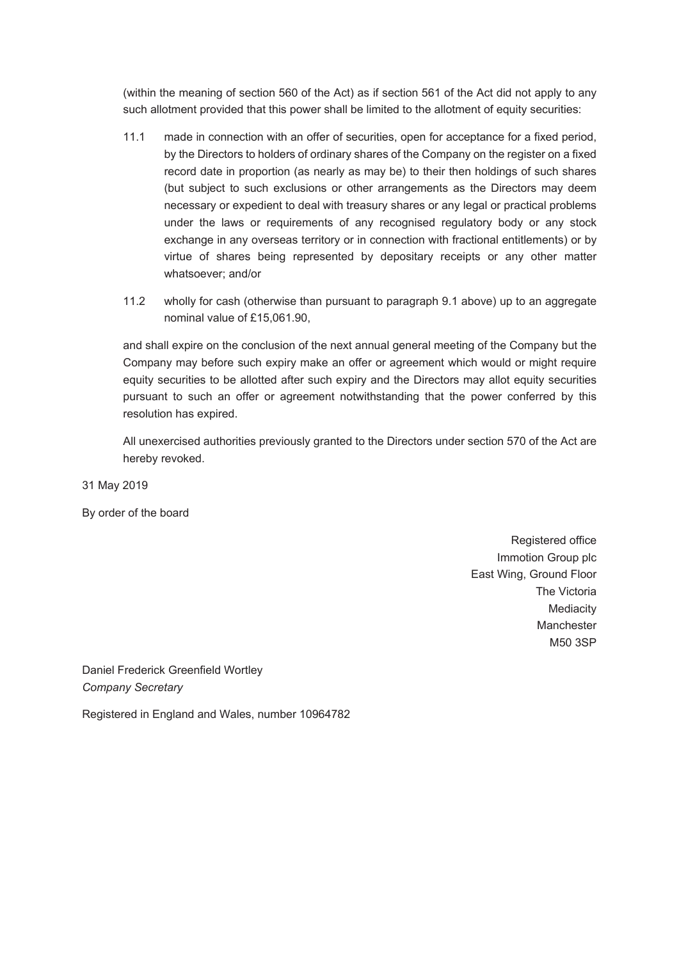(within the meaning of section 560 of the Act) as if section 561 of the Act did not apply to any such allotment provided that this power shall be limited to the allotment of equity securities:

- 11.1 made in connection with an offer of securities, open for acceptance for a fixed period, by the Directors to holders of ordinary shares of the Company on the register on a fixed record date in proportion (as nearly as may be) to their then holdings of such shares (but subject to such exclusions or other arrangements as the Directors may deem necessary or expedient to deal with treasury shares or any legal or practical problems under the laws or requirements of any recognised regulatory body or any stock exchange in any overseas territory or in connection with fractional entitlements) or by virtue of shares being represented by depositary receipts or any other matter whatsoever; and/or
- 11.2 wholly for cash (otherwise than pursuant to paragraph 9.1 above) up to an aggregate nominal value of £15,061.90,

and shall expire on the conclusion of the next annual general meeting of the Company but the Company may before such expiry make an offer or agreement which would or might require equity securities to be allotted after such expiry and the Directors may allot equity securities pursuant to such an offer or agreement notwithstanding that the power conferred by this resolution has expired.

All unexercised authorities previously granted to the Directors under section 570 of the Act are hereby revoked.

31 May 2019

By order of the board

Registered office Immotion Group plc East Wing, Ground Floor The Victoria Mediacity Manchester M50 3SP

Daniel Frederick Greenfield Wortley *Company Secretary* 

Registered in England and Wales, number 10964782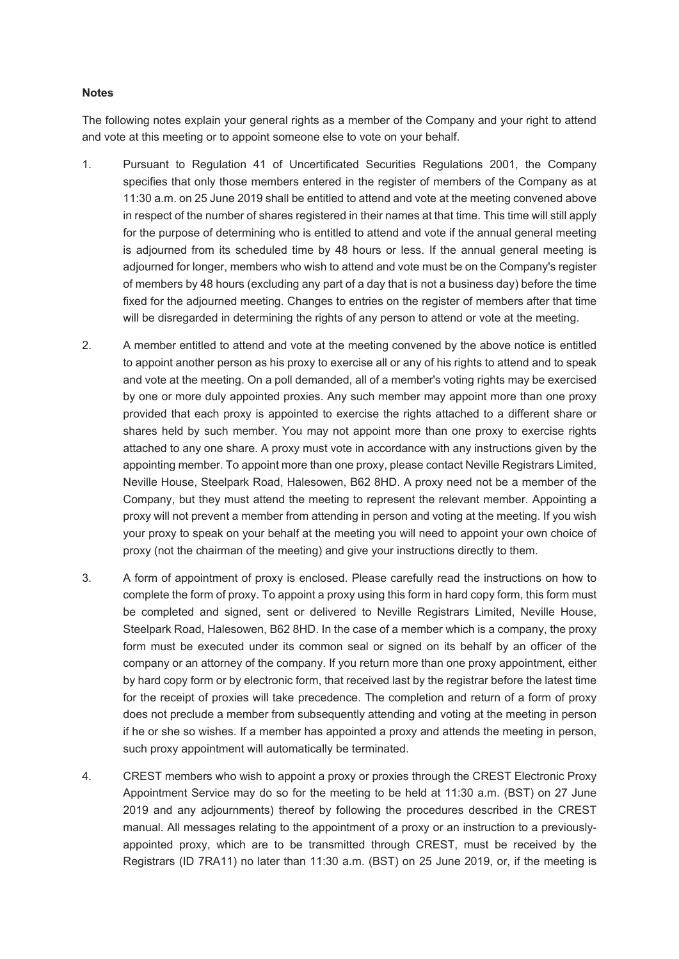#### **Notes**

The following notes explain your general rights as a member of the Company and your right to attend and vote at this meeting or to appoint someone else to vote on your behalf.

- 1. Pursuant to Regulation 41 of Uncertificated Securities Regulations 2001, the Company specifies that only those members entered in the register of members of the Company as at 11:30 a.m. on 25 June 2019 shall be entitled to attend and vote at the meeting convened above in respect of the number of shares registered in their names at that time. This time will still apply for the purpose of determining who is entitled to attend and vote if the annual general meeting is adjourned from its scheduled time by 48 hours or less. If the annual general meeting is adjourned for longer, members who wish to attend and vote must be on the Company's register of members by 48 hours (excluding any part of a day that is not a business day) before the time fixed for the adjourned meeting. Changes to entries on the register of members after that time will be disregarded in determining the rights of any person to attend or vote at the meeting.
- 2. A member entitled to attend and vote at the meeting convened by the above notice is entitled to appoint another person as his proxy to exercise all or any of his rights to attend and to speak and vote at the meeting. On a poll demanded, all of a member's voting rights may be exercised by one or more duly appointed proxies. Any such member may appoint more than one proxy provided that each proxy is appointed to exercise the rights attached to a different share or shares held by such member. You may not appoint more than one proxy to exercise rights attached to any one share. A proxy must vote in accordance with any instructions given by the appointing member. To appoint more than one proxy, please contact Neville Registrars Limited, Neville House, Steelpark Road, Halesowen, B62 8HD. A proxy need not be a member of the Company, but they must attend the meeting to represent the relevant member. Appointing a proxy will not prevent a member from attending in person and voting at the meeting. If you wish your proxy to speak on your behalf at the meeting you will need to appoint your own choice of proxy (not the chairman of the meeting) and give your instructions directly to them.
- 3. A form of appointment of proxy is enclosed. Please carefully read the instructions on how to complete the form of proxy. To appoint a proxy using this form in hard copy form, this form must be completed and signed, sent or delivered to Neville Registrars Limited, Neville House, Steelpark Road, Halesowen, B62 8HD. In the case of a member which is a company, the proxy form must be executed under its common seal or signed on its behalf by an officer of the company or an attorney of the company. If you return more than one proxy appointment, either by hard copy form or by electronic form, that received last by the registrar before the latest time for the receipt of proxies will take precedence. The completion and return of a form of proxy does not preclude a member from subsequently attending and voting at the meeting in person if he or she so wishes. If a member has appointed a proxy and attends the meeting in person, such proxy appointment will automatically be terminated.
- 4. CREST members who wish to appoint a proxy or proxies through the CREST Electronic Proxy Appointment Service may do so for the meeting to be held at 11:30 a.m. (BST) on 27 June 2019 and any adjournments) thereof by following the procedures described in the CREST manual. All messages relating to the appointment of a proxy or an instruction to a previouslyappointed proxy, which are to be transmitted through CREST, must be received by the Registrars (ID 7RA11) no later than 11:30 a.m. (BST) on 25 June 2019, or, if the meeting is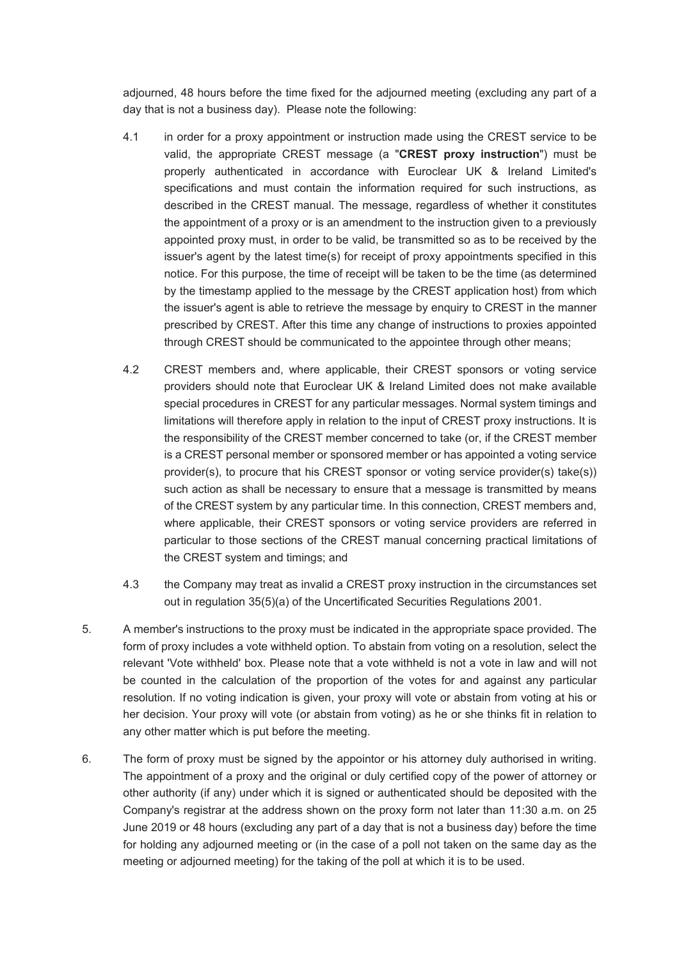adjourned, 48 hours before the time fixed for the adjourned meeting (excluding any part of a day that is not a business day). Please note the following:

- 4.1 in order for a proxy appointment or instruction made using the CREST service to be valid, the appropriate CREST message (a "**CREST proxy instruction**") must be properly authenticated in accordance with Euroclear UK & Ireland Limited's specifications and must contain the information required for such instructions, as described in the CREST manual. The message, regardless of whether it constitutes the appointment of a proxy or is an amendment to the instruction given to a previously appointed proxy must, in order to be valid, be transmitted so as to be received by the issuer's agent by the latest time(s) for receipt of proxy appointments specified in this notice. For this purpose, the time of receipt will be taken to be the time (as determined by the timestamp applied to the message by the CREST application host) from which the issuer's agent is able to retrieve the message by enquiry to CREST in the manner prescribed by CREST. After this time any change of instructions to proxies appointed through CREST should be communicated to the appointee through other means;
- 4.2 CREST members and, where applicable, their CREST sponsors or voting service providers should note that Euroclear UK & Ireland Limited does not make available special procedures in CREST for any particular messages. Normal system timings and limitations will therefore apply in relation to the input of CREST proxy instructions. It is the responsibility of the CREST member concerned to take (or, if the CREST member is a CREST personal member or sponsored member or has appointed a voting service provider(s), to procure that his CREST sponsor or voting service provider(s) take(s)) such action as shall be necessary to ensure that a message is transmitted by means of the CREST system by any particular time. In this connection, CREST members and, where applicable, their CREST sponsors or voting service providers are referred in particular to those sections of the CREST manual concerning practical limitations of the CREST system and timings; and
- 4.3 the Company may treat as invalid a CREST proxy instruction in the circumstances set out in regulation 35(5)(a) of the Uncertificated Securities Regulations 2001.
- 5. A member's instructions to the proxy must be indicated in the appropriate space provided. The form of proxy includes a vote withheld option. To abstain from voting on a resolution, select the relevant 'Vote withheld' box. Please note that a vote withheld is not a vote in law and will not be counted in the calculation of the proportion of the votes for and against any particular resolution. If no voting indication is given, your proxy will vote or abstain from voting at his or her decision. Your proxy will vote (or abstain from voting) as he or she thinks fit in relation to any other matter which is put before the meeting.
- 6. The form of proxy must be signed by the appointor or his attorney duly authorised in writing. The appointment of a proxy and the original or duly certified copy of the power of attorney or other authority (if any) under which it is signed or authenticated should be deposited with the Company's registrar at the address shown on the proxy form not later than 11:30 a.m. on 25 June 2019 or 48 hours (excluding any part of a day that is not a business day) before the time for holding any adjourned meeting or (in the case of a poll not taken on the same day as the meeting or adjourned meeting) for the taking of the poll at which it is to be used.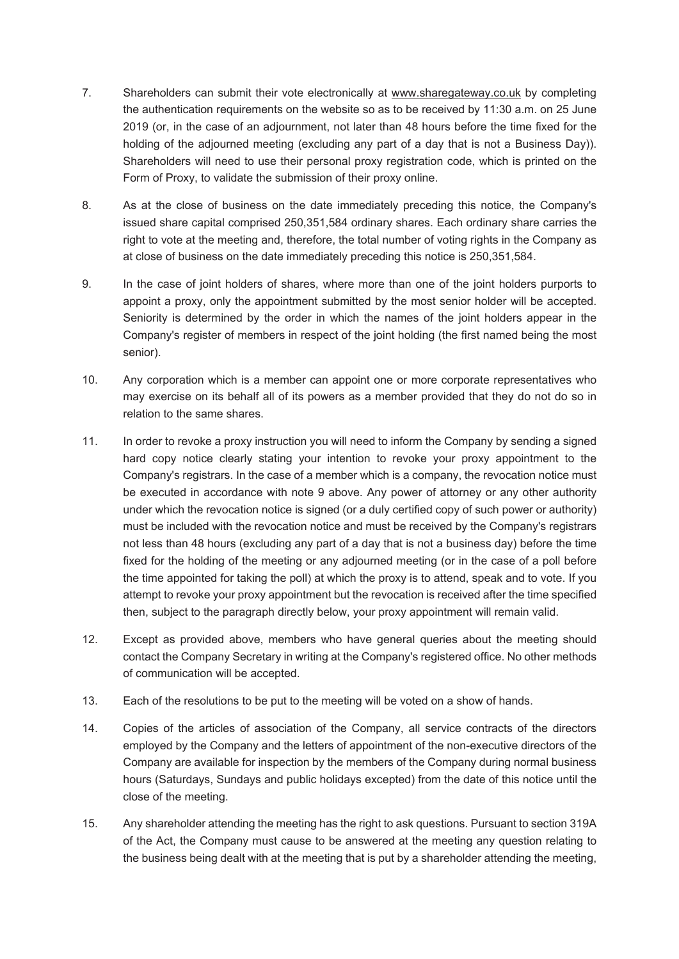- 7. Shareholders can submit their vote electronically at www.sharegateway.co.uk by completing the authentication requirements on the website so as to be received by 11:30 a.m. on 25 June 2019 (or, in the case of an adjournment, not later than 48 hours before the time fixed for the holding of the adjourned meeting (excluding any part of a day that is not a Business Day)). Shareholders will need to use their personal proxy registration code, which is printed on the Form of Proxy, to validate the submission of their proxy online.
- 8. As at the close of business on the date immediately preceding this notice, the Company's issued share capital comprised 250,351,584 ordinary shares. Each ordinary share carries the right to vote at the meeting and, therefore, the total number of voting rights in the Company as at close of business on the date immediately preceding this notice is 250,351,584.
- 9. In the case of joint holders of shares, where more than one of the joint holders purports to appoint a proxy, only the appointment submitted by the most senior holder will be accepted. Seniority is determined by the order in which the names of the joint holders appear in the Company's register of members in respect of the joint holding (the first named being the most senior).
- 10. Any corporation which is a member can appoint one or more corporate representatives who may exercise on its behalf all of its powers as a member provided that they do not do so in relation to the same shares.
- 11. In order to revoke a proxy instruction you will need to inform the Company by sending a signed hard copy notice clearly stating your intention to revoke your proxy appointment to the Company's registrars. In the case of a member which is a company, the revocation notice must be executed in accordance with note 9 above. Any power of attorney or any other authority under which the revocation notice is signed (or a duly certified copy of such power or authority) must be included with the revocation notice and must be received by the Company's registrars not less than 48 hours (excluding any part of a day that is not a business day) before the time fixed for the holding of the meeting or any adjourned meeting (or in the case of a poll before the time appointed for taking the poll) at which the proxy is to attend, speak and to vote. If you attempt to revoke your proxy appointment but the revocation is received after the time specified then, subject to the paragraph directly below, your proxy appointment will remain valid.
- 12. Except as provided above, members who have general queries about the meeting should contact the Company Secretary in writing at the Company's registered office. No other methods of communication will be accepted.
- 13. Each of the resolutions to be put to the meeting will be voted on a show of hands.
- 14. Copies of the articles of association of the Company, all service contracts of the directors employed by the Company and the letters of appointment of the non-executive directors of the Company are available for inspection by the members of the Company during normal business hours (Saturdays, Sundays and public holidays excepted) from the date of this notice until the close of the meeting.
- 15. Any shareholder attending the meeting has the right to ask questions. Pursuant to section 319A of the Act, the Company must cause to be answered at the meeting any question relating to the business being dealt with at the meeting that is put by a shareholder attending the meeting,